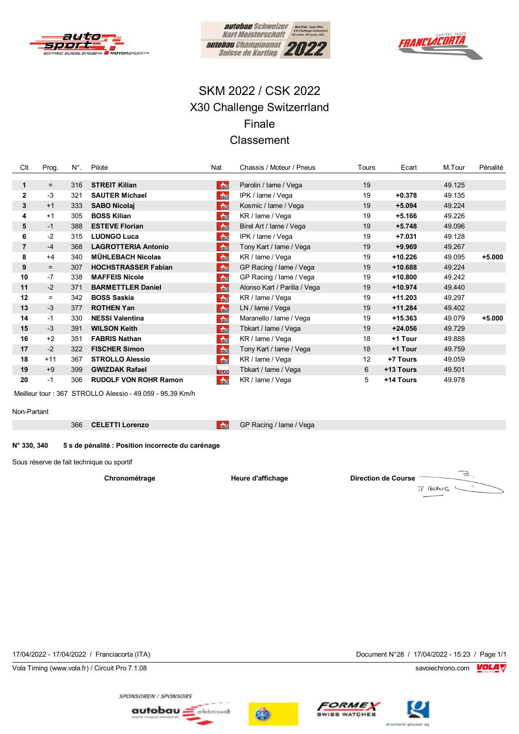





# SKM 2022 / CSK 2022 X30 Challenge Switzerrland Finale Classement

| Clt            | Prog. | $N^{\circ}$ . | Pilote                       | Nat             | Chassis / Moteur / Pneus     | Tours | Ecart     | M.Tour | Pénalité |
|----------------|-------|---------------|------------------------------|-----------------|------------------------------|-------|-----------|--------|----------|
|                |       |               |                              |                 |                              |       |           |        |          |
| $\mathbf{1}$   | $=$   | 316           | <b>STREIT Killan</b>         | <b>F</b> su     | Parolin / Iame / Vega        | 19    |           | 49.125 |          |
| $\mathbf{2}$   | -3    | 321           | <b>SAUTER Michael</b>        | $\frac{1}{30}$  | IPK / lame / Vega            | 19    | $+0.378$  | 49.135 |          |
| 3              | $+1$  | 333           | <b>SABO Nicolai</b>          | <b>Tsur</b>     | Kosmic / Iame / Vega         | 19    | $+5.094$  | 49.224 |          |
| 4              | $+1$  | 305           | <b>BOSS Kilian</b>           | $\frac{1}{50}$  | KR / lame / Vega             | 19    | $+5.166$  | 49.226 |          |
| 5              | $-1$  | 388           | <b>ESTEVE Florian</b>        | <b>Sul</b>      | Birel Art / Iame / Vega      | 19    | $+5.748$  | 49.096 |          |
| 6              | $-2$  | 315           | <b>LUONGO Luca</b>           | $\frac{1}{30}$  | IPK / lame / Vega            | 19    | $+7.031$  | 49.128 |          |
| $\overline{7}$ | $-4$  | 368           | <b>LAGROTTERIA Antonio</b>   | <b>F</b> sur    | Tony Kart / Iame / Vega      | 19    | $+9.969$  | 49.267 |          |
| 8              | $+4$  | 340           | <b>MÜHLEBACH Nicolas</b>     | $\frac{1}{30}$  | KR / lame / Vega             | 19    | +10.226   | 49.095 | $+5.000$ |
| 9              | $=$   | 307           | <b>HOCHSTRASSER Fabian</b>   | <b>Ru</b>       | GP Racing / Iame / Vega      | 19    | $+10.688$ | 49.224 |          |
| 10             | $-7$  | 338           | <b>MAFFEIS Nicole</b>        | <b>F</b> sur    | GP Racing / Iame / Vega      | 19    | +10.800   | 49.242 |          |
| 11             | $-2$  | 371           | <b>BARMETTLER Daniel</b>     | <b>F</b> su     | Alonso Kart / Parilla / Vega | 19    | $+10.974$ | 49.440 |          |
| 12             | $=$   | 342           | <b>BOSS Saskia</b>           | <b>Sur</b>      | KR / lame / Vega             | 19    | $+11.203$ | 49.297 |          |
| 13             | $-3$  | 377           | <b>ROTHEN Yan</b>            | <b>F</b> sur    | LN / lame / Vega             | 19    | $+11.284$ | 49.402 |          |
| 14             | $-1$  | 330           | <b>NESSI Valentina</b>       | <b>Su</b>       | Maranello / Iame / Vega      | 19    | +15.363   | 49.079 | $+5.000$ |
| 15             | $-3$  | 391           | <b>WILSON Keith</b>          | <b>Sul</b>      | Tbkart / lame / Vega         | 19    | $+24.056$ | 49.729 |          |
| 16             | $+2$  | 351           | <b>FABRIS Nathan</b>         | $\frac{1}{300}$ | KR / lame / Vega             | 18    | +1 Tour   | 49.888 |          |
| 17             | $-2$  | 322           | <b>FISCHER Simon</b>         | <b>F</b> sur    | Tony Kart / Iame / Vega      | 18    | +1 Tour   | 49.759 |          |
| 18             | $+11$ | 367           | <b>STROLLO Alessio</b>       | $\frac{1}{30}$  | KR / lame / Vega             | 12    | +7 Tours  | 49.059 |          |
| 19             | $+9$  | 399           | <b>GWIZDAK Rafael</b>        | POL             | Tbkart / lame / Vega         | 6     | +13 Tours | 49.501 |          |
| 20             | $-1$  | 306           | <b>RUDOLF VON ROHR Ramon</b> | <b>Sur</b>      | KR / lame / Vega             | 5     | +14 Tours | 49.978 |          |

Meilleur tour: 367 STROLLO Alessio - 49.059 - 95,39 Km/h

Non-Partant

366 CELETTI Lorenzo

GP Racing / lame / Vega

#### N° 330, 340 5 s de pénalité : Position incorrecte du carénage

Sous réserve de fait technique ou sportif

Chronométrage

Heure d'affichage

 $\overline{\phantom{a}}$ sur

**Direction de Course** 

 $\mathbb{R}$  . 7' BLANC

17/04/2022 - 17/04/2022 / Franciacorta (ITA)

Vola Timing (www.vola.fr) / Circuit Pro 7.1.08

Document N°28 / 17/04/2022 - 15:23 / Page 1/1

savoiechrono.com **VOLA** 





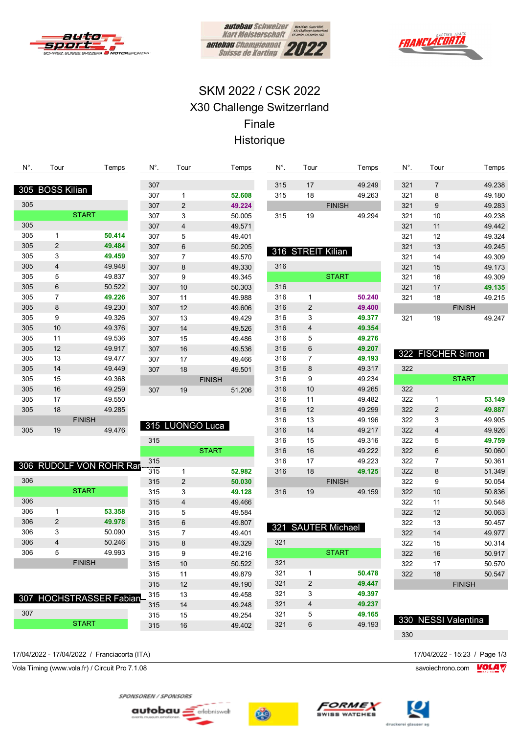





# SKM 2022 / CSK 2022 X30 Challenge Switzerrland Finale Historique

| N°. | Tour            |               | Temps                   | N°. | Tour                    |               | Temps  | N°. | Tour                    |                    | Temps  | $N^{\circ}$ . | Tour           |                      | Temps  |
|-----|-----------------|---------------|-------------------------|-----|-------------------------|---------------|--------|-----|-------------------------|--------------------|--------|---------------|----------------|----------------------|--------|
|     |                 |               |                         | 307 |                         |               |        | 315 | 17                      |                    | 49.249 | 321           | $\overline{7}$ |                      | 49.238 |
|     | 305 BOSS Kilian |               |                         | 307 | $\mathbf{1}$            |               | 52.608 | 315 | 18                      |                    | 49.263 | 321           | 8              |                      | 49.180 |
| 305 |                 |               |                         | 307 | $\sqrt{2}$              |               | 49.224 |     |                         | <b>FINISH</b>      |        | 321           | 9              |                      | 49.283 |
|     |                 | <b>START</b>  |                         | 307 | 3                       |               | 50.005 | 315 | 19                      |                    | 49.294 | 321           | 10             |                      | 49.238 |
| 305 |                 |               |                         | 307 | $\overline{\mathbf{4}}$ |               | 49.571 |     |                         |                    |        | 321           | 11             |                      | 49.442 |
| 305 | $\mathbf{1}$    |               | 50.414                  | 307 | 5                       |               | 49.401 |     |                         |                    |        | 321           | 12             |                      | 49.324 |
| 305 | $\overline{2}$  |               | 49.484                  | 307 | $\,6\,$                 |               | 50.205 |     |                         |                    |        | 321           | 13             |                      | 49.245 |
| 305 | 3               |               | 49.459                  | 307 | $\overline{7}$          |               | 49.570 |     |                         | 316 STREIT Kilian  |        | 321           | 14             |                      | 49.309 |
| 305 | 4               |               | 49.948                  | 307 | 8                       |               | 49.330 | 316 |                         |                    |        | 321           | 15             |                      | 49.173 |
| 305 | 5               |               | 49.837                  | 307 | 9                       |               | 49.345 |     |                         | <b>START</b>       |        | 321           | 16             |                      | 49.309 |
| 305 | 6               |               | 50.522                  | 307 | 10                      |               | 50.303 | 316 |                         |                    |        | 321           | 17             |                      | 49.135 |
| 305 | $\overline{7}$  |               | 49.226                  | 307 | 11                      |               | 49.988 | 316 | 1                       |                    | 50.240 | 321           | 18             |                      | 49.215 |
| 305 | $\bf 8$         |               | 49.230                  | 307 | 12                      |               | 49.606 | 316 | $\overline{\mathbf{c}}$ |                    | 49.400 |               |                | <b>FINISH</b>        |        |
| 305 | 9               |               | 49.326                  | 307 | 13                      |               | 49.429 | 316 | 3                       |                    | 49.377 | 321           | 19             |                      | 49.247 |
| 305 | 10              |               | 49.376                  | 307 | 14                      |               | 49.526 | 316 | 4                       |                    | 49.354 |               |                |                      |        |
| 305 | 11              |               | 49.536                  | 307 | 15                      |               | 49.486 | 316 | 5                       |                    | 49.276 |               |                |                      |        |
| 305 | 12              |               | 49.917                  | 307 | 16                      |               | 49.536 | 316 | $\,6$                   |                    | 49.207 |               |                |                      |        |
| 305 | 13              |               | 49.477                  | 307 | 17                      |               | 49.466 | 316 | 7                       |                    | 49.193 | 322           |                | <b>FISCHER Simon</b> |        |
| 305 | 14              |               | 49.449                  | 307 | 18                      |               | 49.501 | 316 | 8                       |                    | 49.317 | 322           |                |                      |        |
| 305 | 15              |               | 49.368                  |     |                         | <b>FINISH</b> |        | 316 | 9                       |                    | 49.234 |               |                | <b>START</b>         |        |
| 305 | 16              |               | 49.259                  | 307 | 19                      |               | 51.206 | 316 | 10                      |                    | 49.265 | 322           |                |                      |        |
| 305 | 17              |               | 49.550                  |     |                         |               |        | 316 | 11                      |                    | 49.482 | 322           | 1              |                      | 53.149 |
| 305 | 18              |               | 49.285                  |     |                         |               |        | 316 | 12                      |                    | 49.299 | 322           | $\overline{2}$ |                      | 49.887 |
|     |                 | <b>FINISH</b> |                         |     |                         |               |        | 316 | 13                      |                    | 49.196 | 322           | 3              |                      | 49.905 |
| 305 | 19              |               | 49.476                  |     | 315 LUONGO Luca         |               |        | 316 | 14                      |                    | 49.217 | 322           | 4              |                      | 49.926 |
|     |                 |               |                         | 315 |                         |               |        | 316 | 15                      |                    | 49.316 | 322           | 5              |                      | 49.759 |
|     |                 |               |                         |     |                         | <b>START</b>  |        | 316 | 16                      |                    | 49.222 | 322           | $6\phantom{1}$ |                      | 50.060 |
|     |                 |               | 306 RUDOLF VON ROHR Rar | 315 |                         |               |        | 316 | 17                      |                    | 49.223 | 322           | $\overline{7}$ |                      | 50.361 |
|     |                 |               |                         | 315 | $\mathbf{1}$            |               | 52.982 | 316 | 18                      |                    | 49.125 | 322           | 8              |                      | 51.349 |
| 306 |                 |               |                         | 315 | $\overline{2}$          |               | 50.030 |     |                         | <b>FINISH</b>      |        | 322           | 9              |                      | 50.054 |
|     |                 | <b>START</b>  |                         | 315 | 3                       |               | 49.128 | 316 | 19                      |                    | 49.159 | 322           | 10             |                      | 50.836 |
| 306 |                 |               |                         | 315 | 4                       |               | 49.466 |     |                         |                    |        | 322           | 11             |                      | 50.548 |
| 306 | $\mathbf{1}$    |               | 53.358                  | 315 | 5                       |               | 49.584 |     |                         |                    |        | 322           | 12             |                      | 50.063 |
| 306 | $\overline{c}$  |               | 49.978                  | 315 | $6\phantom{1}6$         |               | 49.807 |     |                         | 321 SAUTER Michael |        | 322           | 13             |                      | 50.457 |
| 306 | 3               |               | 50.090                  | 315 | 7                       |               | 49.401 |     |                         |                    |        | 322           | 14             |                      | 49.977 |
| 306 | 4               |               | 50.246                  | 315 | 8                       |               | 49.329 | 321 |                         |                    |        | 322           | 15             |                      | 50.314 |
| 306 | 5               |               | 49.993                  | 315 | 9                       |               | 49.216 |     |                         | <b>START</b>       |        | 322           | 16             |                      | 50.917 |
|     |                 | <b>FINISH</b> |                         | 315 | 10                      |               | 50.522 | 321 |                         |                    |        | 322           | 17             |                      | 50.570 |
|     |                 |               |                         | 315 | 11                      |               | 49.879 | 321 | 1                       |                    | 50.478 | 322           | 18             |                      | 50.547 |
|     |                 |               |                         | 315 | 12                      |               | 49.190 | 321 | $\overline{c}$          |                    | 49.447 |               |                | <b>FINISH</b>        |        |
|     |                 |               | 307 HOCHSTRASSER Fabian | 315 | 13                      |               | 49.458 | 321 | 3                       |                    | 49.397 |               |                |                      |        |
|     |                 |               |                         | 315 | 14                      |               | 49.248 | 321 | 4                       |                    | 49.237 |               |                |                      |        |
| 307 |                 |               |                         | 315 | 15                      |               | 49.254 | 321 | 5                       |                    | 49.165 |               |                | 330 NESSI Valentina  |        |
|     |                 | <b>START</b>  |                         | 315 | 16                      |               | 49.402 | 321 | $\,6$                   |                    | 49.193 |               |                |                      |        |
|     |                 |               |                         |     |                         |               |        |     |                         |                    |        | 330           |                |                      |        |

17/04/2022 - 17/04/2022 / Franciacorta (ITA) 17/04/2022 - 15:23 / Page 1/3

Vola Timing (www.vola.fr) / Circuit Pro 7.1.08 savoiechrono.com **VOLA V** 

SPONSOREN / SPONSORS

autobau <u>=</u> erlebniswelt





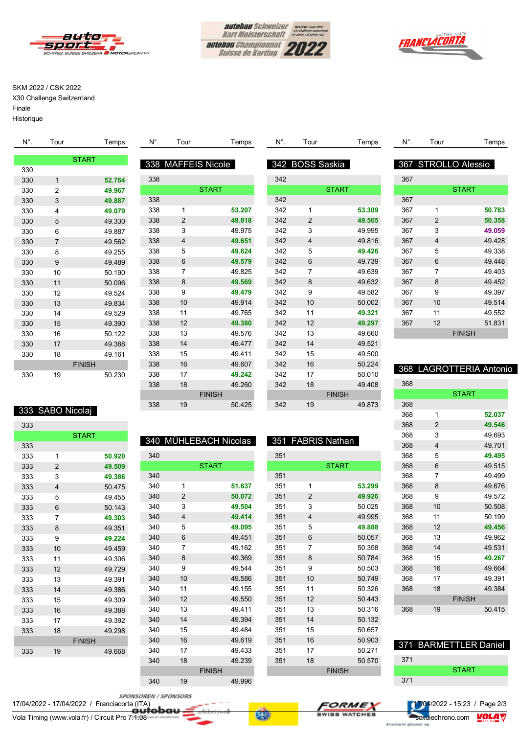





### SKM 2022 / CSK 2022

X30 Challenge Switzerrland Finale

Historique

| $N^{\circ}$ . | Tour           | Temps        | $N^{\circ}$ . | Tour                  | Temps        | $N^{\circ}$ . | Tour            | Temps        | N°. | Tour           | Temps               |
|---------------|----------------|--------------|---------------|-----------------------|--------------|---------------|-----------------|--------------|-----|----------------|---------------------|
|               |                | <b>START</b> | 338           | <b>MAFFEIS Nicole</b> |              |               | 342 BOSS Saskia |              |     |                | 367 STROLLO Alessio |
| 330           |                |              |               |                       |              |               |                 |              |     |                |                     |
| 330           | 1              | 52.764       | 338           |                       |              | 342           |                 |              | 367 |                |                     |
| 330           | 2              | 49.967       |               |                       | <b>START</b> |               |                 | <b>START</b> |     |                | <b>START</b>        |
| 330           | 3              | 49.887       | 338           |                       |              | 342           |                 |              | 367 |                |                     |
| 330           | 4              | 49.079       | 338           |                       | 53.207       | 342           |                 | 53.309       | 367 |                | 50.783              |
| 330           | 5              | 49.330       | 338           | 2                     | 49.818       | 342           | $\overline{2}$  | 49.565       | 367 | $\overline{2}$ | 50.358              |
| 330           | 6              | 49.887       | 338           | 3                     | 49.975       | 342           | 3               | 49.995       | 367 | 3              | 49.059              |
| 330           | $\overline{7}$ | 49.562       | 338           | 4                     | 49.651       | 342           | 4               | 49.816       | 367 | $\overline{4}$ | 49.428              |
| 330           | 8              | 49.255       | 338           | 5                     | 49.624       | 342           | 5               | 49.426       | 367 | 5              | 49.338              |
| 330           | 9              | 49.489       | 338           | 6                     | 49.579       | 342           | 6               | 49.739       | 367 | 6              | 49.448              |
| 330           | 10             | 50.190       | 338           | $\overline{7}$        | 49.825       | 342           | $\overline{7}$  | 49.639       | 367 | $\overline{7}$ | 49.403              |
| 330           | 11             | 50.096       | 338           | 8                     | 49.569       | 342           | 8               | 49.632       | 367 | 8              | 49.452              |
| 330           | 12             | 49.524       | 338           | 9                     | 49.479       | 342           | 9               | 49.582       | 367 | 9              | 49.397              |
| 330           | 13             | 49.834       | 338           | 10                    | 49.914       | 342           | 10              | 50.002       | 367 | 10             | 49.514              |
| 330           | 14             | 49.529       | 338           | 11                    | 49.765       | 342           | 11              | 49.321       | 367 | 11             | 49.552              |
| 330           | 15             | 49.390       | 338           | 12                    | 49.380       | 342           | 12              | 49.297       | 367 | 12             | 51.831              |
| 330           | 16             | 50.122       | 338           | 13                    | 49.576       | 342           | 13              | 49.660       |     |                | <b>FINISH</b>       |
| 330           | 17             | 49.388       | 338           | 14                    | 49.477       | 342           | 14              | 49.521       |     |                |                     |
| 330           | 18             | 49.161       | 338           | 15                    | 49.411       | 342           | 15              | 49.500       |     |                |                     |

### 368 LAGROTTERIA Antonio

| 368 |                         |               |        |
|-----|-------------------------|---------------|--------|
|     |                         | <b>START</b>  |        |
| 368 |                         |               |        |
| 368 | 1                       |               | 52.037 |
| 368 | $\overline{2}$          |               | 49.546 |
| 368 | 3                       |               | 49.693 |
| 368 | $\overline{\mathbf{A}}$ |               | 49.701 |
| 368 | 5                       |               | 49.495 |
| 368 | 6                       |               | 49.515 |
| 368 | 7                       |               | 49.499 |
| 368 | 8                       |               | 49.676 |
| 368 | 9                       |               | 49.572 |
| 368 | 10                      |               | 50.508 |
| 368 | 11                      |               | 50.199 |
| 368 | 12                      |               | 49.456 |
| 368 | 13                      |               | 49.962 |
| 368 | 14                      |               | 49.531 |
| 368 | 15                      |               | 49.267 |
| 368 | 16                      |               | 49.664 |
| 368 | 17                      |               | 49.391 |
| 368 | 18                      |               | 49 384 |
|     |                         | <b>FINISH</b> |        |
| 368 | 19                      |               | 50.415 |
|     |                         |               |        |

## 371 BARMETTLER Daniel

| 371 |              |  |
|-----|--------------|--|
|     | <b>START</b> |  |
| 371 |              |  |
|     |              |  |

| ააυ | J              | 49.007        |
|-----|----------------|---------------|
| 330 | 4              | 49.079        |
| 330 | 5              | 49.330        |
| 330 | 6              | 49.887        |
| 330 | $\overline{7}$ | 49.562        |
| 330 | 8              | 49.255        |
| 330 | 9              | 49.489        |
| 330 | 10             | 50.190        |
| 330 | 11             | 50.096        |
| 330 | 12             | 49.524        |
| 330 | 13             | 49.834        |
| 330 | 14             | 49.529        |
| 330 | 15             | 49.390        |
| 330 | 16             | 50.122        |
| 330 | 17             | 49.388        |
| 330 | 18             | 49.161        |
|     |                | <b>FINISH</b> |
| 330 | 19             | 50.230        |
|     |                |               |
|     |                |               |

| 7 |     |                         | 5 I ART       |        |
|---|-----|-------------------------|---------------|--------|
| 7 | 338 |                         |               |        |
| 9 | 338 | 1                       |               | 53.207 |
| 0 | 338 | $\overline{2}$          |               | 49.818 |
| 7 | 338 | 3                       |               | 49.975 |
| 2 | 338 | $\overline{\mathbf{4}}$ |               | 49.651 |
| 5 | 338 | 5                       |               | 49.624 |
| 9 | 338 | 6                       |               | 49.579 |
| 0 | 338 | 7                       |               | 49.825 |
| 6 | 338 | 8                       |               | 49.569 |
| 4 | 338 | 9                       |               | 49.479 |
| 4 | 338 | 10                      |               | 49.914 |
| 9 | 338 | 11                      |               | 49.765 |
| 0 | 338 | 12                      |               | 49.380 |
| 2 | 338 | 13                      |               | 49.576 |
| 8 | 338 | 14                      |               | 49.477 |
| 1 | 338 | 15                      |               | 49.411 |
|   | 338 | 16                      |               | 49.607 |
| ٥ | 338 | 17                      |               | 49.242 |
|   | 338 | 18                      |               | 49.260 |
|   |     |                         | <b>FINISH</b> |        |
|   | 338 | 19                      |               | 50.425 |
|   |     |                         |               |        |
|   |     |                         |               |        |

|  | 333 SABO Nicolai |
|--|------------------|
|  |                  |
|  |                  |

2 **49.509**

|     |                | <b>START</b>  |     |                | 340 MÜHLEBACH Nicolas |     | 351 FABRIS Nathan |               |
|-----|----------------|---------------|-----|----------------|-----------------------|-----|-------------------|---------------|
| 333 |                |               |     |                |                       |     |                   |               |
| 333 | 1              | 50.920        | 340 |                |                       | 351 |                   |               |
| 333 | $\overline{2}$ | 49.509        |     |                | <b>START</b>          |     |                   | <b>START</b>  |
| 333 | 3              | 49.386        | 340 |                |                       | 351 |                   |               |
| 333 | $\overline{4}$ | 50.475        | 340 | 1              | 51.637                | 351 | 1                 | 53.299        |
| 333 | 5              | 49.455        | 340 | $\overline{2}$ | 50.072                | 351 | $\overline{2}$    | 49.926        |
| 333 | 6              | 50.143        | 340 | 3              | 49.504                | 351 | 3                 | 50.025        |
| 333 | 7              | 49.303        | 340 | 4              | 49.414                | 351 | 4                 | 49.995        |
| 333 | 8              | 49.351        | 340 | 5              | 49.095                | 351 | 5                 | 49.888        |
| 333 | 9              | 49.224        | 340 | 6              | 49.451                | 351 | 6                 | 50.057        |
| 333 | 10             | 49.459        | 340 | 7              | 49.162                | 351 | 7                 | 50.358        |
| 333 | 11             | 49.306        | 340 | 8              | 49.369                | 351 | 8                 | 50.784        |
| 333 | 12             | 49.729        | 340 | 9              | 49.544                | 351 | 9                 | 50.503        |
| 333 | 13             | 49.391        | 340 | 10             | 49.586                | 351 | 10                | 50.749        |
| 333 | 14             | 49.386        | 340 | 11             | 49.155                | 351 | 11                | 50.326        |
| 333 | 15             | 49.309        | 340 | 12             | 49.550                | 351 | 12                | 50.443        |
| 333 | 16             | 49.388        | 340 | 13             | 49.411                | 351 | 13                | 50.316        |
| 333 | 17             | 49.392        | 340 | 14             | 49.394                | 351 | 14                | 50.132        |
| 333 | 18             | 49.298        | 340 | 15             | 49.484                | 351 | 15                | 50.657        |
|     |                | <b>FINISH</b> | 340 | 16             | 49.619                | 351 | 16                | 50.903        |
| 333 | 19             | 49.668        | 340 | 17             | 49.433                | 351 | 17                | 50.271        |
|     |                |               | 340 | 18             | 49.239                | 351 | 18                | 50.570        |
|     |                |               |     |                | <b>FINISH</b>         |     |                   | <b>FINISH</b> |

19 49.996

SPONSOREN / SPONSORS

Vola Timing (www.vola.fr) / Circuit Pro 7.1.08 savoiecher and continued and continued and continued and continued and continued and continued and continued and continued and continued and continued and continued and contin





 16 50.224 17 50.010 18 49.408 FINISH 19 49.873

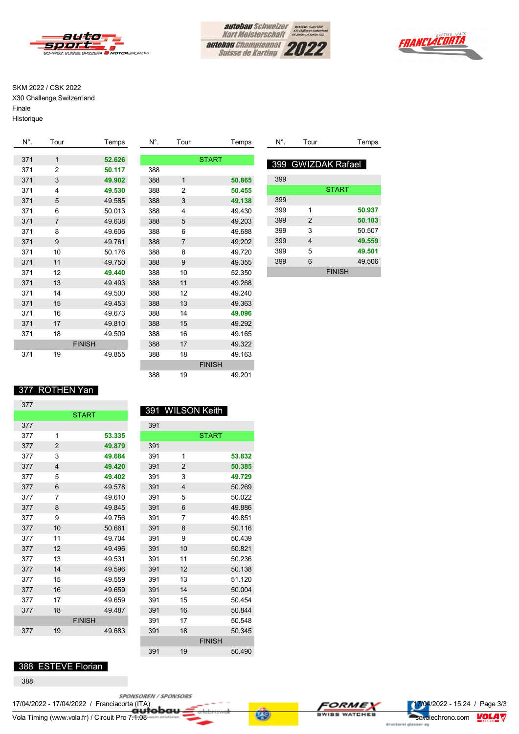



I



#### SKM 2022 / CSK 2022

X30 Challenge Switzerrland Finale

Historique

| N°. | Tour           | Temps         | N°. | Tour         | Temps         |
|-----|----------------|---------------|-----|--------------|---------------|
|     | $\mathbf{1}$   |               |     |              |               |
| 371 |                | 52.626        |     |              | <b>START</b>  |
| 371 | $\overline{2}$ | 50.117        | 388 |              |               |
| 371 | 3              | 49.902        | 388 | $\mathbf{1}$ | 50.865        |
| 371 | 4              | 49.530        | 388 | 2            | 50.455        |
| 371 | 5              | 49.585        | 388 | 3            | 49.138        |
| 371 | 6              | 50.013        | 388 | 4            | 49.430        |
| 371 | $\overline{7}$ | 49.638        | 388 | 5            | 49.203        |
| 371 | 8              | 49.606        | 388 | 6            | 49.688        |
| 371 | 9              | 49.761        | 388 | 7            | 49.202        |
| 371 | 10             | 50.176        | 388 | 8            | 49.720        |
| 371 | 11             | 49.750        | 388 | 9            | 49.355        |
| 371 | 12             | 49,440        | 388 | 10           | 52.350        |
| 371 | 13             | 49.493        | 388 | 11           | 49.268        |
| 371 | 14             | 49.500        | 388 | 12           | 49.240        |
| 371 | 15             | 49.453        | 388 | 13           | 49.363        |
| 371 | 16             | 49.673        | 388 | 14           | 49.096        |
| 371 | 17             | 49.810        | 388 | 15           | 49.292        |
| 371 | 18             | 49.509        | 388 | 16           | 49.165        |
|     |                | <b>FINISH</b> | 388 | 17           | 49.322        |
| 371 | 19             | 49.855        | 388 | 18           | 49.163        |
|     |                |               |     |              | <b>FINISH</b> |
|     |                |               | 388 | 19           | 49.201        |

| N°. | Tour | Temps              |
|-----|------|--------------------|
|     |      |                    |
|     |      | 399 GWIZDAK Rafael |
| 399 |      |                    |
|     |      | <b>START</b>       |
| 399 |      |                    |
| 399 | 1    | 50.937             |
| 399 | 2    | 50.103             |
| 399 | 3    | 50.507             |
| 399 | 4    | 49.559             |
| 399 | 5    | 49.501             |
| 399 | 6    | 49.506             |
|     |      | <b>FINISH</b>      |

#### 377 ROTHEN Yan

| 377 |                |               |        |    |
|-----|----------------|---------------|--------|----|
|     |                | <b>START</b>  |        | 39 |
| 377 |                |               |        | 3  |
| 377 | 1              |               | 53.335 |    |
| 377 | $\overline{2}$ |               | 49.879 | 3  |
| 377 | 3              |               | 49.684 | 3  |
| 377 | $\overline{4}$ |               | 49.420 | 3  |
| 377 | 5              |               | 49.402 | 3  |
| 377 | 6              |               | 49.578 | 3  |
| 377 | 7              |               | 49.610 | 3  |
| 377 | 8              |               | 49.845 | 3  |
| 377 | 9              |               | 49.756 | 3  |
| 377 | 10             |               | 50.661 | 3  |
| 377 | 11             |               | 49.704 | 3  |
| 377 | 12             |               | 49.496 | 3  |
| 377 | 13             |               | 49.531 | 3  |
| 377 | 14             |               | 49.596 | 3  |
| 377 | 15             |               | 49.559 | 3  |
| 377 | 16             |               | 49.659 | 3  |
| 377 | 17             |               | 49.659 | 3  |
| 377 | 18             |               | 49.487 | 3  |
|     |                | <b>FINISH</b> |        | 3  |
| 377 | 19             |               | 49.683 | 3  |
|     |                |               |        |    |

#### 391 WILSON Keith a1

|    |        | ບອ⊤ |                |               |        |
|----|--------|-----|----------------|---------------|--------|
|    | 53.335 |     |                | <b>START</b>  |        |
|    | 49.879 | 391 |                |               |        |
|    | 49.684 | 391 | 1              |               | 53.832 |
|    | 49.420 | 391 | $\overline{2}$ |               | 50.385 |
|    | 49,402 | 391 | 3              |               | 49.729 |
|    | 49.578 | 391 | 4              |               | 50.269 |
|    | 49.610 | 391 | 5              |               | 50.022 |
|    | 49.845 | 391 | 6              |               | 49.886 |
|    | 49.756 | 391 | 7              |               | 49.851 |
|    | 50.661 | 391 | 8              |               | 50.116 |
|    | 49.704 | 391 | 9              |               | 50.439 |
|    | 49.496 | 391 | 10             |               | 50.821 |
|    | 49.531 | 391 | 11             |               | 50.236 |
|    | 49.596 | 391 | 12             |               | 50.138 |
|    | 49.559 | 391 | 13             |               | 51.120 |
|    | 49.659 | 391 | 14             |               | 50.004 |
|    | 49.659 | 391 | 15             |               | 50.454 |
|    | 49.487 | 391 | 16             |               | 50.844 |
| šН |        | 391 | 17             |               | 50.548 |
|    | 49.683 | 391 | 18             |               | 50.345 |
|    |        |     |                | <b>FINISH</b> |        |
|    |        | 391 | 19             |               | 50.490 |

#### 388 ESTEVE Florian